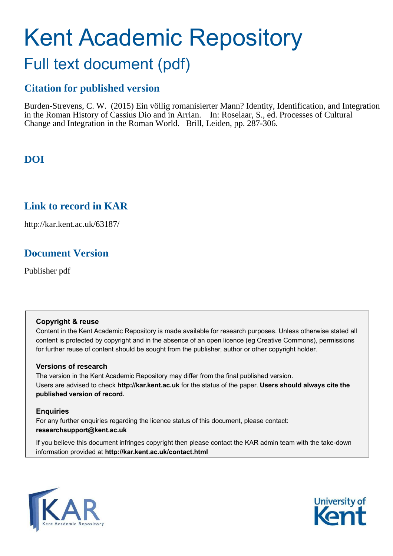# Kent Academic Repository Full text document (pdf)

# **Citation for published version**

Burden-Strevens, C. W. (2015) Ein völlig romanisierter Mann? Identity, Identification, and Integration in the Roman History of Cassius Dio and in Arrian. In: Roselaar, S., ed. Processes of Cultural Change and Integration in the Roman World. Brill, Leiden, pp. 287-306.

# **DOI**

# **Link to record in KAR**

http://kar.kent.ac.uk/63187/

# **Document Version**

Publisher pdf

### **Copyright & reuse**

Content in the Kent Academic Repository is made available for research purposes. Unless otherwise stated all content is protected by copyright and in the absence of an open licence (eg Creative Commons), permissions for further reuse of content should be sought from the publisher, author or other copyright holder.

### **Versions of research**

The version in the Kent Academic Repository may differ from the final published version. Users are advised to check **http://kar.kent.ac.uk** for the status of the paper. **Users should always cite the published version of record.**

### **Enquiries**

For any further enquiries regarding the licence status of this document, please contact: **researchsupport@kent.ac.uk**

If you believe this document infringes copyright then please contact the KAR admin team with the take-down information provided at **http://kar.kent.ac.uk/contact.html**



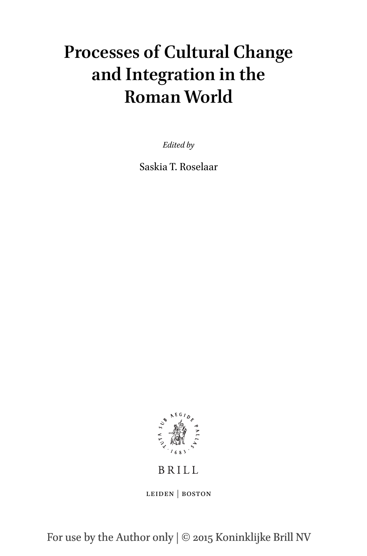# **Processes of Cultural Change and Integration in the Roman World**

*Edited by*

Saskia T. Roselaar



# **BRILL**

LEIDEN | BOSTON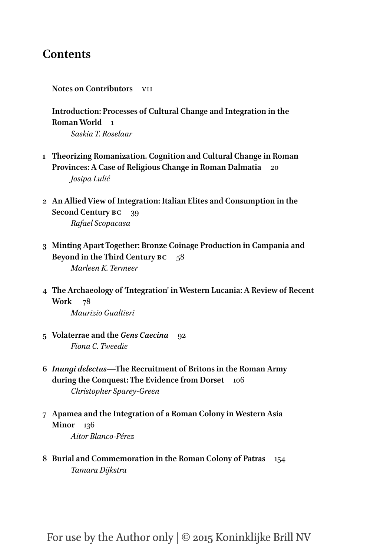### **Contents**

**Notes on Contributors VII** 

 **Introduction: Processes of Cultural Change and Integration in the Roman World** 1 *Saskia T. Roselaar*

- **1 Theorizing Romanization. Cognition and Cultural Change in Roman Provinces: A Case of Religious Change in Roman Dalmatia** 20 *Josipa Lulić*
- **2 An Allied View of Integration: Italian Elites and Consumption in the Second Century BC** 39 *Rafael Scopacasa*
- **3 Minting Apart Together: Bronze Coinage Production in Campania and Beyond in the Third Century BC** 58 *Marleen K. Termeer*
- **4 The Archaeology of 'Integration' in Western Lucania: A Review of Recent Work** 78

*Maurizio Gualtieri*

- **5 Volaterrae and the** *Gens Caecina* 92 *Fiona C. Tweedie*
- **6** *Inungi delectus***—The Recruitment of Britons in the Roman Army during the Conquest: The Evidence from Dorset** 106 *Christopher Sparey-Green*
- **7 Apamea and the Integration of a Roman Colony in Western Asia Minor** 136 *Aitor Blanco-Pérez*
- **8 Burial and Commemoration in the Roman Colony of Patras** 154 *Tamara Dijkstra*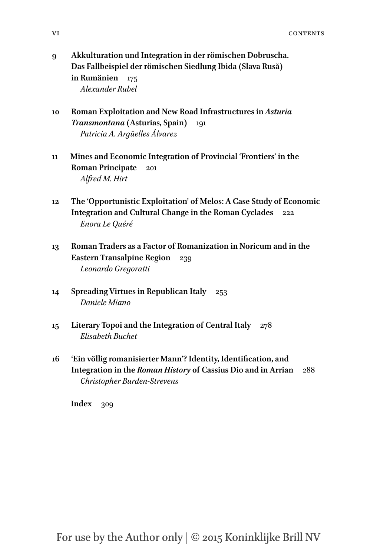- **9 Akkulturation und Integration in der römischen Dobruscha. Das Fallbeispiel der römischen Siedlung Ibida (Slava Rusă) in Rumänien** 175 *Alexander Rubel*
- **10 Roman Exploitation and New Road Infrastructures in** *Asturia Transmontana* **(Asturias, Spain)** 191 *Patricia A. Argüelles Álvarez*
- **11 Mines and Economic Integration of Provincial 'Frontiers' in the Roman Principate** 201 *Alfred M. Hirt*
- **12 The 'Opportunistic Exploitation' of Melos: A Case Study of Economic Integration and Cultural Change in the Roman Cyclades** 222 *Enora Le Quéré*
- **13 Roman Traders as a Factor of Romanization in Noricum and in the Eastern Transalpine Region** 239 *Leonardo Gregoratti*
- **14 Spreading Virtues in Republican Italy** 253 *Daniele Miano*
- **15 Literary Topoi and the Integration of Central Italy** 278 *Elisabeth Buchet*
- 16 'Ein völlig romanisierter Mann'? Identity, Identification, and **Integration in the** *Roman History* **of Cassius Dio and in Arrian** 288 *Christopher Burden-Strevens*

**Index** 309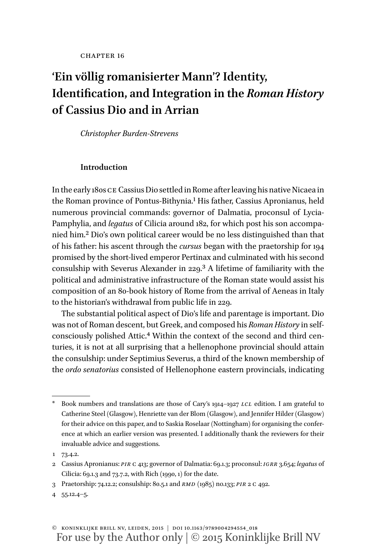# **'Ein völlig romanisierter Mann'? Identity, Identiijication, and Integration in the** *Roman History* **of Cassius Dio and in Arrian**

*Christopher Burden-Strevens*

#### **Introduction**

In the early 180s CE Cassius Dio settled in Rome after leaving his native Nicaea in the Roman province of Pontus-Bithynia.<sup>1</sup> His father, Cassius Apronianus, held numerous provincial commands: governor of Dalmatia, proconsul of Lycia-Pamphylia, and *legatus* of Cilicia around 182, for which post his son accompanied him.2 Dio's own political career would be no less distinguished than that of his father: his ascent through the *cursus* began with the praetorship for 194 promised by the short-lived emperor Pertinax and culminated with his second consulship with Severus Alexander in 229.3 A lifetime of familiarity with the political and administrative infrastructure of the Roman state would assist his composition of an 80-book history of Rome from the arrival of Aeneas in Italy to the historian's withdrawal from public life in 229.

The substantial political aspect of Dio's life and parentage is important. Dio was not of Roman descent, but Greek, and composed his *Roman History* in selfconsciously polished Attic.4 Within the context of the second and third centuries, it is not at all surprising that a hellenophone provincial should attain the consulship: under Septimius Severus, a third of the known membership of the *ordo senatorius* consisted of Hellenophone eastern provincials, indicating

<sup>\*</sup> Book numbers and translations are those of Cary's 1914–1927 *LCL* edition. I am grateful to Catherine Steel (Glasgow), Henriette van der Blom (Glasgow), and Jennifer Hilder (Glasgow) for their advice on this paper, and to Saskia Roselaar (Nottingham) for organising the conference at which an earlier version was presented. I additionally thank the reviewers for their invaluable advice and suggestions.

<sup>1 73.4.2.</sup>

<sup>2</sup> Cassius Apronianus: *PIR* C 413; governor of Dalmatia: 69.1.3; proconsul: *IGRR* 3.654; *legatus* of Cilicia: 69.1.3 and 73.7.2, with Rich (1990, 1) for the date.

<sup>3</sup> Praetorship: 74.12.2; consulship: 80.5.1 and *RMD* (1985) no.133; *PIR* 2 C 492.

<sup>4 55.12.4–5.</sup>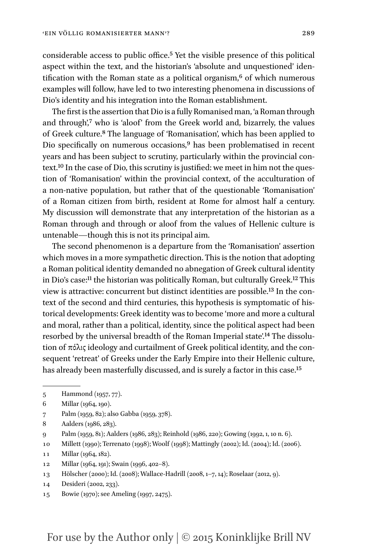considerable access to public office.<sup>5</sup> Yet the visible presence of this political aspect within the text, and the historian's 'absolute and unquestioned' identification with the Roman state as a political organism, $6$  of which numerous examples will follow, have led to two interesting phenomena in discussions of Dio's identity and his integration into the Roman establishment.

The first is the assertion that Dio is a fully Romanised man, 'a Roman through and through',<sup>7</sup> who is 'aloof' from the Greek world and, bizarrely, the values of Greek culture.8 The language of 'Romanisation', which has been applied to Dio specifically on numerous occasions, $9$  has been problematised in recent years and has been subject to scrutiny, particularly within the provincial context.<sup>10</sup> In the case of Dio, this scrutiny is justified: we meet in him not the question of 'Romanisation' within the provincial context, of the acculturation of a non-native population, but rather that of the questionable 'Romanisation' of a Roman citizen from birth, resident at Rome for almost half a century. My discussion will demonstrate that any interpretation of the historian as a Roman through and through or aloof from the values of Hellenic culture is untenable—though this is not its principal aim.

The second phenomenon is a departure from the 'Romanisation' assertion which moves in a more sympathetic direction. This is the notion that adopting a Roman political identity demanded no abnegation of Greek cultural identity in Dio's case:11 the historian was politically Roman, but culturally Greek.12 This view is attractive: concurrent but distinct identities are possible.13 In the context of the second and third centuries, this hypothesis is symptomatic of historical developments: Greek identity was to become 'more and more a cultural and moral, rather than a political, identity, since the political aspect had been resorbed by the universal breadth of the Roman Imperial state'.<sup>14</sup> The dissolution of πόλις ideology and curtailment of Greek political identity, and the consequent 'retreat' of Greeks under the Early Empire into their Hellenic culture, has already been masterfully discussed, and is surely a factor in this case.<sup>15</sup>

<sup>5</sup> Hammond (1957, 77).

<sup>6</sup> Millar (1964, 190).

<sup>7</sup> Palm (1959, 82); also Gabba (1959, 378).

<sup>8</sup> Aalders (1986, 283).

<sup>9</sup> Palm (1959, 81); Aalders (1986, 283); Reinhold (1986, 220); Gowing (1992, 1, 10 n. 6).

<sup>10</sup> Millett (1990); Terrenato (1998); Woolf (1998); Mattingly (2002); Id. (2004); Id. (2006).

<sup>11</sup> Millar (1964, 182).

<sup>12</sup> Millar (1964, 191); Swain (1996, 402–8).

<sup>13</sup> Hölscher (2000); Id. (2008); Wallace-Hadrill (2008, 1–7, 14); Roselaar (2012, 9).

<sup>14</sup> Desideri (2002, 233).

<sup>15</sup> Bowie (1970); see Ameling (1997, 2475).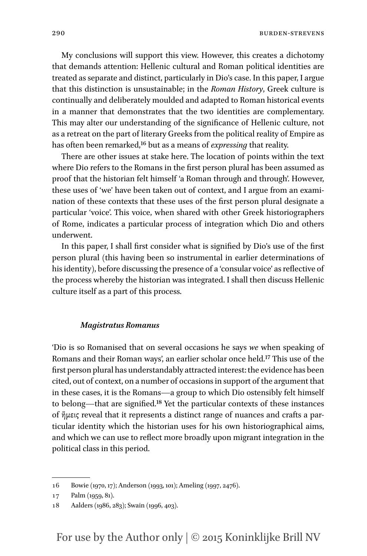My conclusions will support this view. However, this creates a dichotomy that demands attention: Hellenic cultural and Roman political identities are treated as separate and distinct, particularly in Dio's case. In this paper, I argue that this distinction is unsustainable; in the *Roman History*, Greek culture is continually and deliberately moulded and adapted to Roman historical events in a manner that demonstrates that the two identities are complementary. This may alter our understanding of the significance of Hellenic culture, not as a retreat on the part of literary Greeks from the political reality of Empire as has often been remarked,16 but as a means of *expressing* that reality.

There are other issues at stake here. The location of points within the text where Dio refers to the Romans in the first person plural has been assumed as proof that the historian felt himself 'a Roman through and through'. However, these uses of 'we' have been taken out of context, and I argue from an examination of these contexts that these uses of the first person plural designate a particular 'voice'. This voice, when shared with other Greek historiographers of Rome, indicates a particular process of integration which Dio and others underwent.

In this paper, I shall first consider what is signified by Dio's use of the first person plural (this having been so instrumental in earlier determinations of his identity), before discussing the presence of a 'consular voice' as reflective of the process whereby the historian was integrated. I shall then discuss Hellenic culture itself as a part of this process.

#### *Magistratus Romanus*

'Dio is so Romanised that on several occasions he says *we* when speaking of Romans and their Roman ways', an earlier scholar once held.17 This use of the first person plural has understandably attracted interest: the evidence has been cited, out of context, on a number of occasions in support of the argument that in these cases, it is the Romans—a group to which Dio ostensibly felt himself to belong—that are signified.<sup>18</sup> Yet the particular contexts of these instances of ἥμεις reveal that it represents a distinct range of nuances and crafts a particular identity which the historian uses for his own historiographical aims, and which we can use to reflect more broadly upon migrant integration in the political class in this period.

<sup>16</sup> Bowie (1970, 17); Anderson (1993, 101); Ameling (1997, 2476).

<sup>17</sup> Palm (1959, 81).

<sup>18</sup> Aalders (1986, 283); Swain (1996, 403).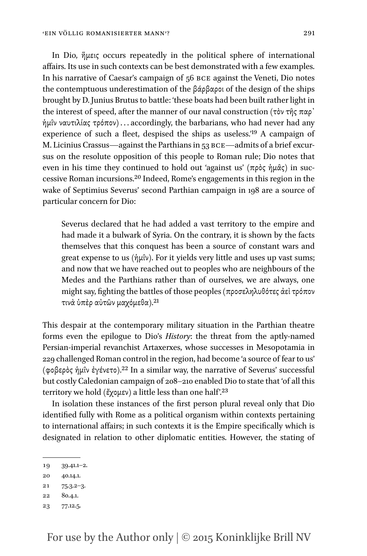In Dio, ἥμεις occurs repeatedly in the political sphere of international affairs. Its use in such contexts can be best demonstrated with a few examples. In his narrative of Caesar's campaign of 56 BCE against the Veneti, Dio notes the contemptuous underestimation of the βάρβαροι of the design of the ships brought by D. Junius Brutus to battle: 'these boats had been built rather light in the interest of speed, after the manner of our naval construction (τὸν τῆς παρ᾽ ἡμῖν ναυτιλίας τρόπον) . . . accordingly, the barbarians, who had never had any experience of such a fleet, despised the ships as useless.'19 A campaign of M. Licinius Crassus—against the Parthians in 53 BCE—admits of a brief excursus on the resolute opposition of this people to Roman rule; Dio notes that even in his time they continued to hold out 'against us' (πρὸς ἡμᾶς) in successive Roman incursions.20 Indeed, Rome's engagements in this region in the wake of Septimius Severus' second Parthian campaign in 198 are a source of particular concern for Dio:

Severus declared that he had added a vast territory to the empire and had made it a bulwark of Syria. On the contrary, it is shown by the facts themselves that this conquest has been a source of constant wars and great expense to us (ἡμῖν). For it yields very little and uses up vast sums; and now that we have reached out to peoples who are neighbours of the Medes and the Parthians rather than of ourselves, we are always, one might say, fighting the battles of those peoples (προσεληλυθότες ἀεὶ τρόπον τινὰ ὑπὲρ αὐτῶν μαχόμεθα).21

This despair at the contemporary military situation in the Parthian theatre forms even the epilogue to Dio's *History*: the threat from the aptly-named Persian-imperial revanchist Artaxerxes, whose successes in Mesopotamia in 229 challenged Roman control in the region, had become 'a source of fear to us' (φοβερὸς ἡμῖν ἐγένετο).22 In a similar way, the narrative of Severus' successful but costly Caledonian campaign of 208–210 enabled Dio to state that 'of all this territory we hold (ἔχομεν) a little less than one half'.23

In isolation these instances of the first person plural reveal only that Dio identified fully with Rome as a political organism within contexts pertaining to international affairs; in such contexts it is the Empire specifically which is designated in relation to other diplomatic entities. However, the stating of

- $21$   $75.3.2-3.$
- 22 80.4.1.
- 23 77.12.5.

<sup>19 39.41.1–2.</sup> 20 40.14.1.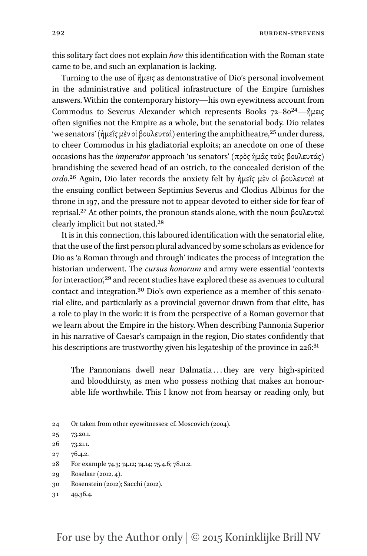292 burden-strevens burden-strevens burden-strevens burden-strevens burden-strevens burden-strevens burden-strevens burden-strevens burden-strevens burden-strevens burden-strevens burden-strevens burden-strevens burden-str

this solitary fact does not explain *how* this identification with the Roman state came to be, and such an explanation is lacking.

Turning to the use of ἥμεις as demonstrative of Dio's personal involvement in the administrative and political infrastructure of the Empire furnishes answers. Within the contemporary history—his own eyewitness account from Commodus to Severus Alexander which represents Books 72–8024—ἥμεις often signifies not the Empire as a whole, but the senatorial body. Dio relates 'we senators' (ἡμεῖς μὲν οἱ βουλευταὶ) entering the amphitheatre,25 under duress, to cheer Commodus in his gladiatorial exploits; an anecdote on one of these occasions has the *imperator* approach 'us senators' (πρὸς ἡμᾶς τοὺς βουλευτάς) brandishing the severed head of an ostrich, to the concealed derision of the *ordo*.26 Again, Dio later records the anxiety felt by ἡμεῖς μὲν οἱ βουλευταὶ at the ensuing conflict between Septimius Severus and Clodius Albinus for the throne in 197, and the pressure not to appear devoted to either side for fear of reprisal.27 At other points, the pronoun stands alone, with the noun βουλευταὶ clearly implicit but not stated.28

It is in this connection, this laboured identification with the senatorial elite, that the use of the first person plural advanced by some scholars as evidence for Dio as 'a Roman through and through' indicates the process of integration the historian underwent. The *cursus honorum* and army were essential 'contexts for interaction',<sup>29</sup> and recent studies have explored these as avenues to cultural contact and integration.30 Dio's own experience as a member of this senatorial elite, and particularly as a provincial governor drawn from that elite, has a role to play in the work: it is from the perspective of a Roman governor that we learn about the Empire in the history. When describing Pannonia Superior in his narrative of Caesar's campaign in the region, Dio states confidently that his descriptions are trustworthy given his legateship of the province in 226:<sup>31</sup>

The Pannonians dwell near Dalmatia . . . they are very high-spirited and bloodthirsty, as men who possess nothing that makes an honourable life worthwhile. This I know not from hearsay or reading only, but

<sup>24</sup> Or taken from other eyewitnesses: cf. Moscovich (2004).

<sup>25 73.20.1.</sup>

<sup>26 73.21.1.</sup>

<sup>27 76.4.2.</sup>

<sup>28</sup> For example 74.3; 74.12; 74.14; 75.4.6; 78.11.2.

<sup>29</sup> Roselaar (2012, 4).

<sup>30</sup> Rosenstein (2012); Sacchi (2012).

<sup>31 49.36.4.</sup>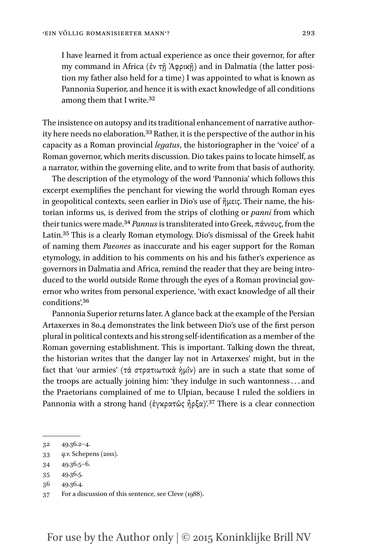I have learned it from actual experience as once their governor, for after my command in Africa (ἐν τῇ Ἀφρικῇ) and in Dalmatia (the latter position my father also held for a time) I was appointed to what is known as Pannonia Superior, and hence it is with exact knowledge of all conditions among them that I write.<sup>32</sup>

The insistence on autopsy and its traditional enhancement of narrative authority here needs no elaboration.33 Rather, it is the perspective of the author in his capacity as a Roman provincial *legatus*, the historiographer in the 'voice' of a Roman governor, which merits discussion. Dio takes pains to locate himself, as a narrator, within the governing elite, and to write from that basis of authority.

The description of the etymology of the word 'Pannonia' which follows this excerpt exemplifies the penchant for viewing the world through Roman eyes in geopolitical contexts, seen earlier in Dio's use of ἥμεις. Their name, the historian informs us, is derived from the strips of clothing or *panni* from which their tunics were made.34 *Pannus* is transliterated into Greek, πάννους, from the Latin.35 This is a clearly Roman etymology. Dio's dismissal of the Greek habit of naming them *Paeones* as inaccurate and his eager support for the Roman etymology, in addition to his comments on his and his father's experience as governors in Dalmatia and Africa, remind the reader that they are being introduced to the world outside Rome through the eyes of a Roman provincial governor who writes from personal experience, 'with exact knowledge of all their conditions'.36

Pannonia Superior returns later. A glance back at the example of the Persian Artaxerxes in 80.4 demonstrates the link between Dio's use of the first person plural in political contexts and his strong self-identification as a member of the Roman governing establishment. This is important. Talking down the threat, the historian writes that the danger lay not in Artaxerxes' might, but in the fact that 'our armies' (τὰ στρατιωτικὰ ἡμῖν) are in such a state that some of the troops are actually joining him: 'they indulge in such wantonness . . . and the Praetorians complained of me to Ulpian, because I ruled the soldiers in Pannonia with a strong hand (ἐγκρατῶς ἦρξα)'.<sup>37</sup> There is a clear connection

- 34 49.36.5–6.
- 35 49.36.5.
- 36 49.36.4.

<sup>32 49.36.2–4.</sup>

<sup>33</sup> *q.v.* Schepens (2011).

<sup>37</sup> For a discussion of this sentence, see Cleve (1988).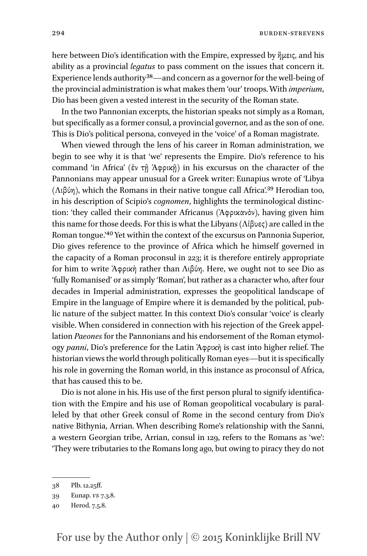294 burden-strevens burden-strevens burden-strevens burden-strevens burden-strevens burden-strevens burden-strevens burden-strevens burden-strevens burden-strevens burden-strevens burden-strevens burden-strevens burden-str

here between Dio's identification with the Empire, expressed by ἥμεις, and his ability as a provincial *legatus* to pass comment on the issues that concern it. Experience lends authority<sup>38</sup>—and concern as a governor for the well-being of the provincial administration is what makes them 'our' troops. With *imperium*, Dio has been given a vested interest in the security of the Roman state.

In the two Pannonian excerpts, the historian speaks not simply as a Roman, but specifically as a former consul, a provincial governor, and as the son of one. This is Dio's political persona, conveyed in the 'voice' of a Roman magistrate.

When viewed through the lens of his career in Roman administration, we begin to see why it is that 'we' represents the Empire. Dio's reference to his command 'in Africa' (ἐν τῇ Ἀφρικῇ) in his excursus on the character of the Pannonians may appear unusual for a Greek writer: Eunapius wrote of 'Libya (Λιβύη), which the Romans in their native tongue call Africa'.39 Herodian too, in his description of Scipio's *cognomen*, highlights the terminological distinction: 'they called their commander Africanus (Ἀφρικανὸν), having given him this name for those deeds. For this is what the Libyans (Λίβυες) are called in the Roman tongue.'40 Yet within the context of the excursus on Pannonia Superior, Dio gives reference to the province of Africa which he himself governed in the capacity of a Roman proconsul in 223; it is therefore entirely appropriate for him to write Ἀφρικὴ rather than Λιβύη. Here, we ought not to see Dio as 'fully Romanised' or as simply 'Roman', but rather as a character who, after four decades in Imperial administration, expresses the geopolitical landscape of Empire in the language of Empire where it is demanded by the political, public nature of the subject matter. In this context Dio's consular 'voice' is clearly visible. When considered in connection with his rejection of the Greek appellation *Paeones* for the Pannonians and his endorsement of the Roman etymology *panni*, Dio's preference for the Latin Ἀφρικὴ is cast into higher relief. The historian views the world through politically Roman eyes—but it is specifically his role in governing the Roman world, in this instance as proconsul of Africa, that has caused this to be.

Dio is not alone in his. His use of the first person plural to signify identification with the Empire and his use of Roman geopolitical vocabulary is paralleled by that other Greek consul of Rome in the second century from Dio's native Bithynia, Arrian. When describing Rome's relationship with the Sanni, a western Georgian tribe, Arrian, consul in 129, refers to the Romans as 'we': 'They were tributaries to the Romans long ago, but owing to piracy they do not

<sup>38</sup> Plb. 12.25ff.

<sup>39</sup> Eunap. *VS* 7.3.8.

<sup>40</sup> Herod. 7.5.8.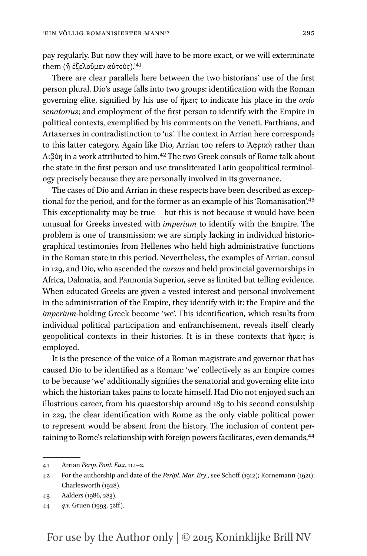pay regularly. But now they will have to be more exact, or we will exterminate them (ή έξελοῦμεν αὐτούς).'<sup>41</sup>

There are clear parallels here between the two historians' use of the first person plural. Dio's usage falls into two groups: identification with the Roman governing elite, signified by his use of ἥμεις to indicate his place in the *ordo senatorius*; and employment of the first person to identify with the Empire in political contexts, exemplified by his comments on the Veneti, Parthians, and Artaxerxes in contradistinction to 'us'. The context in Arrian here corresponds to this latter category. Again like Dio, Arrian too refers to Ἀφρικὴ rather than Λιβύη in a work attributed to him.42 The two Greek consuls of Rome talk about the state in the first person and use transliterated Latin geopolitical terminology precisely because they are personally involved in its governance.

The cases of Dio and Arrian in these respects have been described as exceptional for the period, and for the former as an example of his 'Romanisation'.<sup>43</sup> This exceptionality may be true—but this is not because it would have been unusual for Greeks invested with *imperium* to identify with the Empire. The problem is one of transmission: we are simply lacking in individual historiographical testimonies from Hellenes who held high administrative functions in the Roman state in this period. Nevertheless, the examples of Arrian, consul in 129, and Dio, who ascended the *cursus* and held provincial governorships in Africa, Dalmatia, and Pannonia Superior, serve as limited but telling evidence. When educated Greeks are given a vested interest and personal involvement in the administration of the Empire, they identify with it: the Empire and the *imperium-holding Greek become 'we'*. This identification, which results from individual political participation and enfranchisement, reveals itself clearly geopolitical contexts in their histories. It is in these contexts that ἥμεις is employed.

It is the presence of the voice of a Roman magistrate and governor that has caused Dio to be identified as a Roman: 'we' collectively as an Empire comes to be because 'we' additionally signifies the senatorial and governing elite into which the historian takes pains to locate himself. Had Dio not enjoyed such an illustrious career, from his quaestorship around 189 to his second consulship in 229, the clear identification with Rome as the only viable political power to represent would be absent from the history. The inclusion of content pertaining to Rome's relationship with foreign powers facilitates, even demands, <sup>44</sup>

<sup>41</sup> Arrian *Perip. Pont. Eux*. 11.1–2.

<sup>42</sup> For the authorship and date of the *Peripl. Mar. Ery*., see Schoff (1912); Kornemann (1921); Charlesworth (1928).

<sup>43</sup> Aalders (1986, 283).

<sup>44</sup> *q.v.* Gruen (1993, 52ff).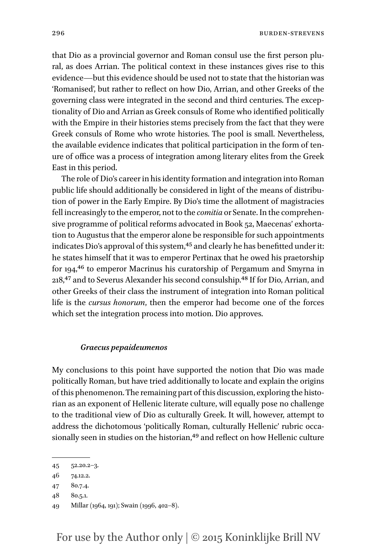that Dio as a provincial governor and Roman consul use the first person plural, as does Arrian. The political context in these instances gives rise to this evidence—but this evidence should be used not to state that the historian was 'Romanised', but rather to reflect on how Dio, Arrian, and other Greeks of the governing class were integrated in the second and third centuries. The exceptionality of Dio and Arrian as Greek consuls of Rome who identified politically with the Empire in their histories stems precisely from the fact that they were Greek consuls of Rome who wrote histories. The pool is small. Nevertheless, the available evidence indicates that political participation in the form of tenure of office was a process of integration among literary elites from the Greek East in this period.

The role of Dio's career in his identity formation and integration into Roman public life should additionally be considered in light of the means of distribution of power in the Early Empire. By Dio's time the allotment of magistracies fell increasingly to the emperor, not to the *comitia* or Senate. In the comprehensive programme of political reforms advocated in Book 52, Maecenas' exhortation to Augustus that the emperor alone be responsible for such appointments indicates Dio's approval of this system,<sup>45</sup> and clearly he has benefitted under it: he states himself that it was to emperor Pertinax that he owed his praetorship for 194,46 to emperor Macrinus his curatorship of Pergamum and Smyrna in 218,47 and to Severus Alexander his second consulship.48 If for Dio, Arrian, and other Greeks of their class the instrument of integration into Roman political life is the *cursus honorum*, then the emperor had become one of the forces which set the integration process into motion. Dio approves.

#### *Graecus pepaideumenos*

My conclusions to this point have supported the notion that Dio was made politically Roman, but have tried additionally to locate and explain the origins of this phenomenon. The remaining part of this discussion, exploring the historian as an exponent of Hellenic literate culture, will equally pose no challenge to the traditional view of Dio as culturally Greek. It will, however, attempt to address the dichotomous 'politically Roman, culturally Hellenic' rubric occasionally seen in studies on the historian,<sup>49</sup> and reflect on how Hellenic culture

48 80.5.1.

<sup>45 52.20.2–3.</sup>

<sup>46 74.12.2.</sup>

<sup>47 80.7.4.</sup>

<sup>49</sup> Millar (1964, 191); Swain (1996, 402–8).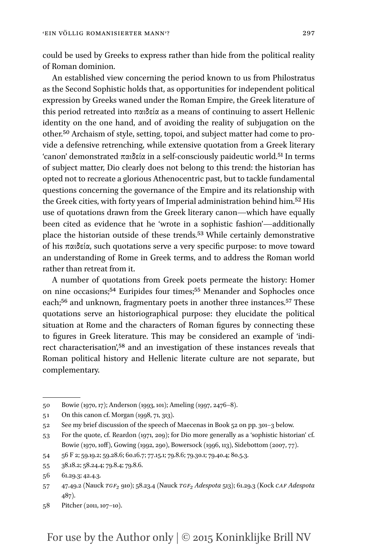could be used by Greeks to express rather than hide from the political reality of Roman dominion.

An established view concerning the period known to us from Philostratus as the Second Sophistic holds that, as opportunities for independent political expression by Greeks waned under the Roman Empire, the Greek literature of this period retreated into παιδεία as a means of continuing to assert Hellenic identity on the one hand, and of avoiding the reality of subjugation on the other.50 Archaism of style, setting, topoi, and subject matter had come to provide a defensive retrenching, while extensive quotation from a Greek literary 'canon' demonstrated παιδεία in a self-consciously paideutic world.51 In terms of subject matter, Dio clearly does not belong to this trend: the historian has opted not to recreate a glorious Athenocentric past, but to tackle fundamental questions concerning the governance of the Empire and its relationship with the Greek cities, with forty years of Imperial administration behind him.52 His use of quotations drawn from the Greek literary canon—which have equally been cited as evidence that he 'wrote in a sophistic fashion'—additionally place the historian outside of these trends.<sup>53</sup> While certainly demonstrative of his παιδεία, such quotations serve a very specific purpose: to move toward an understanding of Rome in Greek terms, and to address the Roman world rather than retreat from it.

A number of quotations from Greek poets permeate the history: Homer on nine occasions;<sup>54</sup> Euripides four times;<sup>55</sup> Menander and Sophocles once each;<sup>56</sup> and unknown, fragmentary poets in another three instances.<sup>57</sup> These quotations serve an historiographical purpose: they elucidate the political situation at Rome and the characters of Roman figures by connecting these to figures in Greek literature. This may be considered an example of 'indirect characterisation',<sup>58</sup> and an investigation of these instances reveals that Roman political history and Hellenic literate culture are not separate, but complementary.

<sup>50</sup> Bowie (1970, 17); Anderson (1993, 101); Ameling (1997, 2476–8).

<sup>51</sup> On this canon cf. Morgan (1998, 71, 313).

<sup>52</sup> See my brief discussion of the speech of Maecenas in Book 52 on pp. 301–3 below.

<sup>53</sup> For the quote, cf. Reardon (1971, 209); for Dio more generally as a 'sophistic historian' cf. Bowie (1970, 10ff), Gowing (1992, 290), Bowersock (1996, 113), Sidebottom (2007, 77).

<sup>54 56</sup> F 2; 59.19.2; 59.28.6; 60.16.7; 77.15.1; 79.8.6; 79.30.1; 79.40.4; 80.5.3.

<sup>55 38.18.2; 58.24.4; 79.8.4; 79.8.6.</sup>

<sup>56 61.29.3; 42.4.3.</sup>

<sup>57 47.49.2 (</sup>Nauck *TGF₂* 910); 58.23.4 (Nauck *TGF₂ Adespota* 513); 61.29.3 (Kock *CAF Adespota* 487).

<sup>58</sup> Pitcher (2011, 107–10).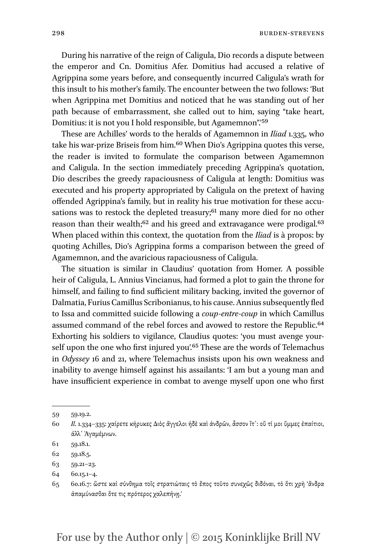298 burden-strevens burden-strevens burden-strevens burden-strevens burden-strevens burden-strevens burden-strevens burden-strevens burden-strevens burden-strevens burden-strevens burden-strevens burden-strevens burden-str

During his narrative of the reign of Caligula, Dio records a dispute between the emperor and Cn. Domitius Afer. Domitius had accused a relative of Agrippina some years before, and consequently incurred Caligula's wrath for this insult to his mother's family. The encounter between the two follows: 'But when Agrippina met Domitius and noticed that he was standing out of her path because of embarrassment, she called out to him, saying "take heart, Domitius: it is not you I hold responsible, but Agamemnon".'59

These are Achilles' words to the heralds of Agamemnon in *Iliad* 1.335, who take his war-prize Briseis from him.<sup>60</sup> When Dio's Agrippina quotes this verse, the reader is invited to formulate the comparison between Agamemnon and Caligula. In the section immediately preceding Agrippina's quotation, Dio describes the greedy rapaciousness of Caligula at length: Domitius was executed and his property appropriated by Caligula on the pretext of having offended Agrippina's family, but in reality his true motivation for these accusations was to restock the depleted treasury;<sup>61</sup> many more died for no other reason than their wealth;<sup>62</sup> and his greed and extravagance were prodigal.<sup>63</sup> When placed within this context, the quotation from the *Iliad* is à propos: by quoting Achilles, Dio's Agrippina forms a comparison between the greed of Agamemnon, and the avaricious rapaciousness of Caligula.

The situation is similar in Claudius' quotation from Homer. A possible heir of Caligula, L. Annius Vincianus, had formed a plot to gain the throne for himself, and failing to find sufficient military backing, invited the governor of Dalmatia, Furius Camillus Scribonianus, to his cause. Annius subsequently fled to Issa and committed suicide following a *coup-entre-coup* in which Camillus assumed command of the rebel forces and avowed to restore the Republic.<sup>64</sup> Exhorting his soldiers to vigilance, Claudius quotes: 'you must avenge yourself upon the one who first injured you'.<sup>65</sup> These are the words of Telemachus in *Odyssey* 16 and 21, where Telemachus insists upon his own weakness and inability to avenge himself against his assailants: 'I am but a young man and have insufficient experience in combat to avenge myself upon one who first

- 63 59.21–23.
- 64 60.15.1–4.

<sup>59 59.19.2.</sup>

<sup>60</sup> *Il*. 1.334–335: χαίρετε κήρυκες Διὸς ἄγελοι ἠδὲ καὶ ἀνδρῶν, ἆσσον ἴτ᾽: οὔ τί μοι ὔμμες ἐπαίτιοι, ἀλ᾽ Ἀγαμέμνων.

<sup>61 59.18.1.</sup>

<sup>62 59.18.5.</sup>

<sup>65 60.16.7:</sup> ὥστε καὶ σύνθημα τοῖς στρατιώταις τὸ ἔπος τοῦτο συνεχῶς διδόναι, τὸ ὅτι χρὴ 'ἄνδρα ἀπαμύνασθαι ὅτε τις πρότερος χαλεπήνῃ.'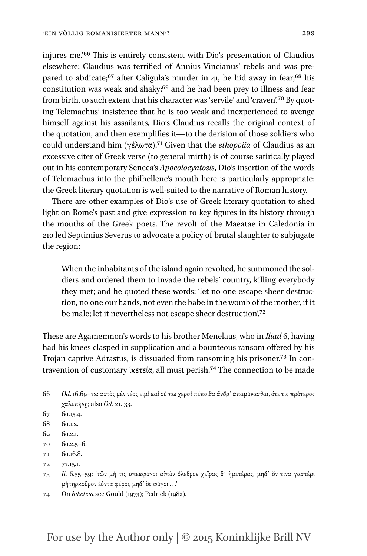injures me.'66 This is entirely consistent with Dio's presentation of Claudius elsewhere: Claudius was terrified of Annius Vincianus' rebels and was prepared to abdicate;<sup>67</sup> after Caligula's murder in 41, he hid away in fear;<sup>68</sup> his constitution was weak and shaky;<sup>69</sup> and he had been prey to illness and fear from birth, to such extent that his character was 'servile' and 'craven'.70 By quoting Telemachus' insistence that he is too weak and inexperienced to avenge himself against his assailants, Dio's Claudius recalls the original context of the quotation, and then exemplifies it—to the derision of those soldiers who could understand him (γέλωτα).71 Given that the *ethopoiia* of Claudius as an excessive citer of Greek verse (to general mirth) is of course satirically played out in his contemporary Seneca's *Apocolocyntosis*, Dio's insertion of the words of Telemachus into the philhellene's mouth here is particularly appropriate: the Greek literary quotation is well-suited to the narrative of Roman history.

There are other examples of Dio's use of Greek literary quotation to shed light on Rome's past and give expression to key figures in its history through the mouths of the Greek poets. The revolt of the Maeatae in Caledonia in 210 led Septimius Severus to advocate a policy of brutal slaughter to subjugate the region:

When the inhabitants of the island again revolted, he summoned the soldiers and ordered them to invade the rebels' country, killing everybody they met; and he quoted these words: 'let no one escape sheer destruction, no one our hands, not even the babe in the womb of the mother, if it be male; let it nevertheless not escape sheer destruction'.72

These are Agamemnon's words to his brother Menelaus, who in *Iliad* 6, having had his knees clasped in supplication and a bounteous ransom offered by his Trojan captive Adrastus, is dissuaded from ransoming his prisoner.73 In contravention of customary ἱκετεία, all must perish.74 The connection to be made

<sup>66</sup> *Od*. 16.69–72: αὐτὸς μὲν νέος εἰμὶ καὶ οὔ πω χερσὶ πέποιθα ἄνδρ᾽ ἀπαμύνασθαι, ὅτε τις πρότερος χαλεπήνῃ; also *Od*. 21.133.

<sup>67 60.15.4.</sup>

<sup>68 60.1.2.</sup>

<sup>60.2.1.</sup> 

<sup>70 60.2.5–6.</sup>

<sup>71 60.16.8.</sup>

<sup>72 77.15.1.</sup>

<sup>73</sup> *Il*. 6.55–59: 'τῶν μή τις ὑπεκφύγοι αἰπὺν ὄλεθρον χεῖράς θ᾽ ἡμετέρας, μηδ᾽ ὅν τινα γαστέρι μήτηρκοῦρον ἐόντα φέροι, μηδ᾽ ὃς φύγοι . . .'

<sup>74</sup> On *hiketeia* see Gould (1973); Pedrick (1982).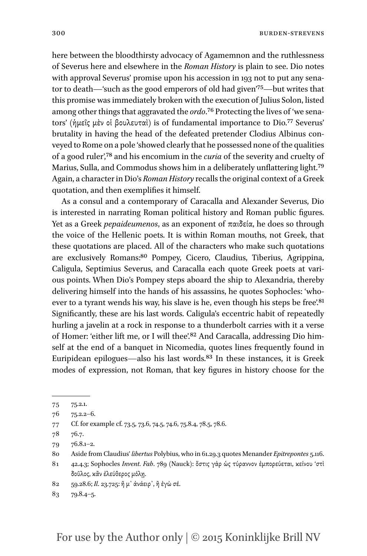300 burden-strevens burden-strevens burden-strevens burden-strevens burden-strevens burden-strevens burden-strevens burden-strevens burden-strevens burden-strevens burden-strevens burden-strevens burden-strevens burden-str

here between the bloodthirsty advocacy of Agamemnon and the ruthlessness of Severus here and elsewhere in the *Roman History* is plain to see. Dio notes with approval Severus' promise upon his accession in 193 not to put any senator to death—'such as the good emperors of old had given'75—but writes that this promise was immediately broken with the execution of Julius Solon, listed among other things that aggravated the *ordo*.76 Protecting the lives of 'we senators' (ἡμεῖς μὲν οἱ βουλευταὶ) is of fundamental importance to Dio.77 Severus' brutality in having the head of the defeated pretender Clodius Albinus conveyed to Rome on a pole 'showed clearly that he possessed none of the qualities of a good ruler',78 and his encomium in the *curia* of the severity and cruelty of Marius, Sulla, and Commodus shows him in a deliberately unflattering light.<sup>79</sup> Again, a character in Dio's *Roman History* recalls the original context of a Greek quotation, and then exemplifies it himself.

As a consul and a contemporary of Caracalla and Alexander Severus, Dio is interested in narrating Roman political history and Roman public figures. Yet as a Greek *pepaideumenos*, as an exponent of παιδεία, he does so through the voice of the Hellenic poets. It is within Roman mouths, not Greek, that these quotations are placed. All of the characters who make such quotations are exclusively Romans:80 Pompey, Cicero, Claudius, Tiberius, Agrippina, Caligula, Septimius Severus, and Caracalla each quote Greek poets at various points. When Dio's Pompey steps aboard the ship to Alexandria, thereby delivering himself into the hands of his assassins, he quotes Sophocles: 'whoever to a tyrant wends his way, his slave is he, even though his steps be free'.<sup>81</sup> Significantly, these are his last words. Caligula's eccentric habit of repeatedly hurling a javelin at a rock in response to a thunderbolt carries with it a verse of Homer: 'either lift me, or I will thee'.<sup>82</sup> And Caracalla, addressing Dio himself at the end of a banquet in Nicomedia, quotes lines frequently found in Euripidean epilogues—also his last words.<sup>83</sup> In these instances, it is Greek modes of expression, not Roman, that key figures in history choose for the

83 79.8.4–5.

<sup>75 75.2.1.</sup>

<sup>76 75.2.2–6.</sup>

<sup>77</sup> Cf. for example cf. 73.5, 73.6, 74.5, 74.6, 75.8.4, 78.5, 78.6.

<sup>78 76.7.</sup>

<sup>79 76.8.1–2.</sup>

<sup>80</sup> Aside from Claudius' *libertus* Polybius, who in 61.29.3 quotes Menander *Epitrepontes* 5.116.

<sup>81 42.4.3;</sup> Sophocles *Invent. Fab*. 789 (Nauck): ὅστις γὰρ ὡς τύραννον ἐμπορεύεται, κείνου 'στὶ δοῦλος, κἂν ἐλεύθερος μόλῃ.

<sup>82 59.28.6;</sup> *Il*. 23.725: ἤ μ᾽ ἀνάειρ᾽, ἢ ἐγὼ σέ.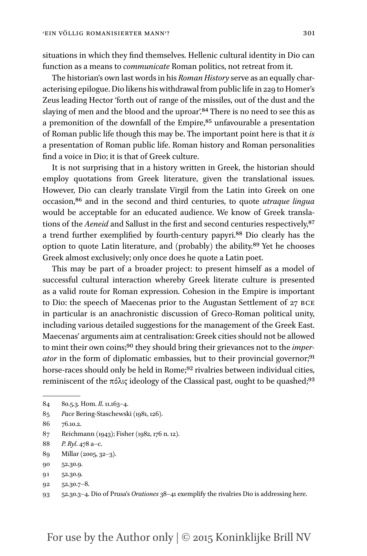situations in which they find themselves. Hellenic cultural identity in Dio can function as a means to *communicate* Roman politics, not retreat from it.

The historian's own last words in his *Roman History* serve as an equally characterising epilogue. Dio likens his withdrawal from public life in 229 to Homer's Zeus leading Hector 'forth out of range of the missiles, out of the dust and the slaying of men and the blood and the uproar'.<sup>84</sup> There is no need to see this as a premonition of the downfall of the Empire,<sup>85</sup> unfavourable a presentation of Roman public life though this may be. The important point here is that it *is* a presentation of Roman public life. Roman history and Roman personalities find a voice in Dio; it is that of Greek culture.

It is not surprising that in a history written in Greek, the historian should employ quotations from Greek literature, given the translational issues. However, Dio can clearly translate Virgil from the Latin into Greek on one occasion,86 and in the second and third centuries, to quote *utraque lingua* would be acceptable for an educated audience. We know of Greek translations of the *Aeneid* and Sallust in the first and second centuries respectively,<sup>87</sup> a trend further exemplified by fourth-century papyri.<sup>88</sup> Dio clearly has the option to quote Latin literature, and (probably) the ability.89 Yet he chooses Greek almost exclusively; only once does he quote a Latin poet.

This may be part of a broader project: to present himself as a model of successful cultural interaction whereby Greek literate culture is presented as a valid route for Roman expression. Cohesion in the Empire is important to Dio: the speech of Maecenas prior to the Augustan Settlement of 27 BCE in particular is an anachronistic discussion of Greco-Roman political unity, including various detailed suggestions for the management of the Greek East. Maecenas' arguments aim at centralisation: Greek cities should not be allowed to mint their own coins;90 they should bring their grievances not to the *imperator* in the form of diplomatic embassies, but to their provincial governor;<sup>91</sup> horse-races should only be held in Rome;<sup>92</sup> rivalries between individual cities, reminiscent of the πόλις ideology of the Classical past, ought to be quashed;<sup>93</sup>

- 89 Millar (2005, 32–3).
- 90 52.30.9.
- 91 52.30.9.
- 92 52.30.7–8.

<sup>84 80.5.3.</sup> Hom. *Il*. 11.163–4.

<sup>85</sup> *Pace* Bering-Staschewski (1981, 126).

<sup>86 76.10.2.</sup>

<sup>87</sup> Reichmann (1943); Fisher (1982, 176 n. 12).

<sup>88</sup> *P. Ryl*. 478 a–c.

<sup>93 52.30.3–4.</sup> Dio of Prusa's *Orationes* 38–41 exemplify the rivalries Dio is addressing here.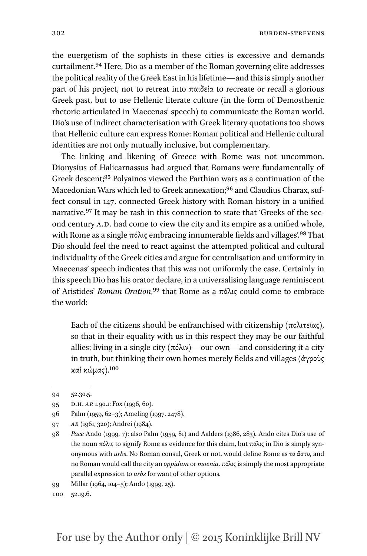the euergetism of the sophists in these cities is excessive and demands curtailment.94 Here, Dio as a member of the Roman governing elite addresses the political reality of the Greek East in his lifetime—and this is simply another part of his project, not to retreat into παιδεία to recreate or recall a glorious Greek past, but to use Hellenic literate culture (in the form of Demosthenic rhetoric articulated in Maecenas' speech) to communicate the Roman world. Dio's use of indirect characterisation with Greek literary quotations too shows that Hellenic culture can express Rome: Roman political and Hellenic cultural identities are not only mutually inclusive, but complementary.

The linking and likening of Greece with Rome was not uncommon. Dionysius of Halicarnassus had argued that Romans were fundamentally of Greek descent;95 Polyainos viewed the Parthian wars as a continuation of the Macedonian Wars which led to Greek annexation;<sup>96</sup> and Claudius Charax, suffect consul in 147, connected Greek history with Roman history in a unified narrative.97 It may be rash in this connection to state that 'Greeks of the second century A.D. had come to view the city and its empire as a unified whole, with Rome as a single πόλις embracing innumerable fields and villages'.<sup>98</sup> That Dio should feel the need to react against the attempted political and cultural individuality of the Greek cities and argue for centralisation and uniformity in Maecenas' speech indicates that this was not uniformly the case. Certainly in this speech Dio has his orator declare, in a universalising language reminiscent of Aristides' *Roman Oration*,99 that Rome as a πόλις could come to embrace the world:

Each of the citizens should be enfranchised with citizenship (πολιτείας), so that in their equality with us in this respect they may be our faithful allies; living in a single city  $(πόλιν)$ —our own—and considering it a city in truth, but thinking their own homes merely fields and villages (ἀγροὺς καὶ κώμας).100

<sup>94 52.30.5.</sup>

<sup>95</sup> D.H. *AR* 1.90.1; Fox (1996, 60).

<sup>96</sup> Palm (1959, 62–3); Ameling (1997, 2478).

<sup>97</sup> *AE* (1961, 320); Andrei (1984).

<sup>98</sup> *Pace* Ando (1999, 7); also Palm (1959, 81) and Aalders (1986, 283). Ando cites Dio's use of the noun πόλις to signify Rome as evidence for this claim, but πόλις in Dio is simply synonymous with *urbs*. No Roman consul, Greek or not, would define Rome as το ἄστυ, and no Roman would call the city an *oppidum* or *moenia*. πόλις is simply the most appropriate parallel expression to *urbs* for want of other options.

<sup>99</sup> Millar (1964, 104–5); Ando (1999, 25).

<sup>100 52.19.6.</sup>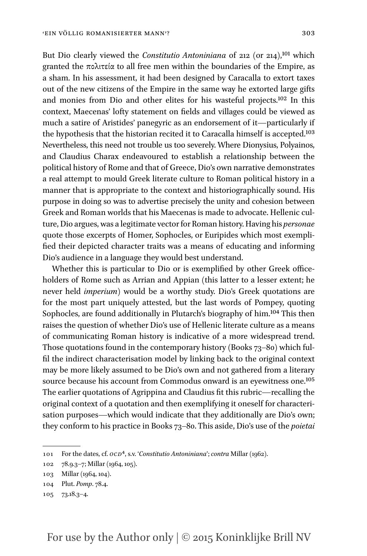But Dio clearly viewed the *Constitutio Antoniniana* of 212 (or 214),101 which granted the πολιτεία to all free men within the boundaries of the Empire, as a sham. In his assessment, it had been designed by Caracalla to extort taxes out of the new citizens of the Empire in the same way he extorted large gifts and monies from Dio and other elites for his wasteful projects.102 In this context, Maecenas' lofty statement on fields and villages could be viewed as much a satire of Aristides' panegyric as an endorsement of it—particularly if the hypothesis that the historian recited it to Caracalla himself is accepted.<sup>103</sup> Nevertheless, this need not trouble us too severely. Where Dionysius, Polyainos, and Claudius Charax endeavoured to establish a relationship between the political history of Rome and that of Greece, Dio's own narrative demonstrates a real attempt to mould Greek literate culture to Roman political history in a manner that is appropriate to the context and historiographically sound. His purpose in doing so was to advertise precisely the unity and cohesion between Greek and Roman worlds that his Maecenas is made to advocate. Hellenic culture, Dio argues, was a legitimate vector for Roman history. Having his *personae* quote those excerpts of Homer, Sophocles, or Euripides which most exemplified their depicted character traits was a means of educating and informing Dio's audience in a language they would best understand.

Whether this is particular to Dio or is exemplified by other Greek officeholders of Rome such as Arrian and Appian (this latter to a lesser extent; he never held *imperium*) would be a worthy study. Dio's Greek quotations are for the most part uniquely attested, but the last words of Pompey, quoting Sophocles, are found additionally in Plutarch's biography of him.<sup>104</sup> This then raises the question of whether Dio's use of Hellenic literate culture as a means of communicating Roman history is indicative of a more widespread trend. Those quotations found in the contemporary history (Books 73–80) which fulfil the indirect characterisation model by linking back to the original context may be more likely assumed to be Dio's own and not gathered from a literary source because his account from Commodus onward is an eyewitness one.<sup>105</sup> The earlier quotations of Agrippina and Claudius fit this rubric—recalling the original context of a quotation and then exemplifying it oneself for characterisation purposes—which would indicate that they additionally are Dio's own; they conform to his practice in Books 73–80. This aside, Dio's use of the *poietai*

<sup>101</sup> For the dates, cf. *OCD*4, s.v. '*Constitutio Antoniniana*'; *contra* Millar (1962).

<sup>102 78.9.3–7;</sup> Millar (1964, 105).

<sup>103</sup> Millar (1964, 104).

<sup>104</sup> Plut. *Pomp*. 78.4.

<sup>105 73.18.3–4.</sup>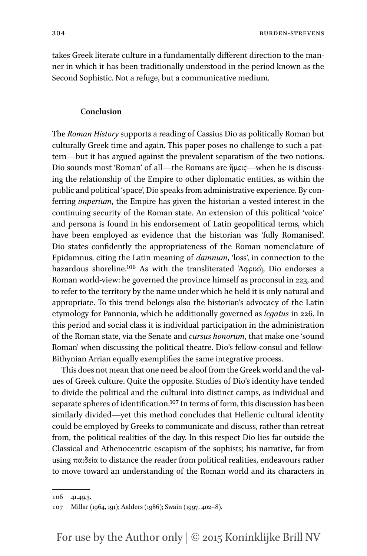takes Greek literate culture in a fundamentally different direction to the manner in which it has been traditionally understood in the period known as the Second Sophistic. Not a refuge, but a communicative medium.

#### **Conclusion**

The *Roman History* supports a reading of Cassius Dio as politically Roman but culturally Greek time and again. This paper poses no challenge to such a pattern—but it has argued against the prevalent separatism of the two notions. Dio sounds most 'Roman' of all—the Romans are ἥμεις—when he is discussing the relationship of the Empire to other diplomatic entities, as within the public and political 'space', Dio speaks from administrative experience. By conferring *imperium*, the Empire has given the historian a vested interest in the continuing security of the Roman state. An extension of this political 'voice' and persona is found in his endorsement of Latin geopolitical terms, which have been employed as evidence that the historian was 'fully Romanised'. Dio states confidently the appropriateness of the Roman nomenclature of Epidamnus, citing the Latin meaning of *damnum*, 'loss', in connection to the hazardous shoreline.106 As with the transliterated Ἀφρικὴ, Dio endorses a Roman world-view: he governed the province himself as proconsul in 223, and to refer to the territory by the name under which he held it is only natural and appropriate. To this trend belongs also the historian's advocacy of the Latin etymology for Pannonia, which he additionally governed as *legatus* in 226. In this period and social class it is individual participation in the administration of the Roman state, via the Senate and *cursus honorum*, that make one 'sound Roman' when discussing the political theatre. Dio's fellow-consul and fellow-Bithynian Arrian equally exemplifies the same integrative process.

This does not mean that one need be aloof from the Greek world and the values of Greek culture. Quite the opposite. Studies of Dio's identity have tended to divide the political and the cultural into distinct camps, as individual and separate spheres of identification.<sup>107</sup> In terms of form, this discussion has been similarly divided—yet this method concludes that Hellenic cultural identity could be employed by Greeks to communicate and discuss, rather than retreat from, the political realities of the day. In this respect Dio lies far outside the Classical and Athenocentric escapism of the sophists; his narrative, far from using παιδεία to distance the reader from political realities, endeavours rather to move toward an understanding of the Roman world and its characters in

<sup>106 41.49.3.</sup>

<sup>107</sup> Millar (1964, 191); Aalders (1986); Swain (1997, 402–8).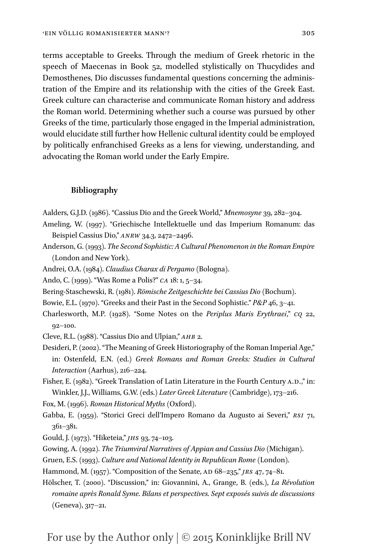terms acceptable to Greeks. Through the medium of Greek rhetoric in the speech of Maecenas in Book 52, modelled stylistically on Thucydides and Demosthenes, Dio discusses fundamental questions concerning the administration of the Empire and its relationship with the cities of the Greek East. Greek culture can characterise and communicate Roman history and address the Roman world. Determining whether such a course was pursued by other Greeks of the time, particularly those engaged in the Imperial administration, would elucidate still further how Hellenic cultural identity could be employed by politically enfranchised Greeks as a lens for viewing, understanding, and advocating the Roman world under the Early Empire.

#### **Bibliography**

- Aalders, G.J.D. (1986). "Cassius Dio and the Greek World," *Mnemosyne* 39, 282–304.
- Ameling, W. (1997). "Griechische Intellektuelle und das Imperium Romanum: das Beispiel Cassius Dio," *ANRW* 34.3, 2472–2496.
- Anderson, G. (1993). *The Second Sophistic: A Cultural Phenomenon in the Roman Empire* (London and New York).
- Andrei, O.A. (1984). *Claudius Charax di Pergamo* (Bologna).
- Ando, C. (1999). "Was Rome a Polis?" *CA* 18: 1, 5–34.
- Bering-Staschewski, R. (1981). *Römische Zeitgeschichte bei Cassius Dio* (Bochum).
- Bowie, E.L. (1970). "Greeks and their Past in the Second Sophistic." *P&P* 46, 3–41.
- Charlesworth, M.P. (1928). "Some Notes on the *Periplus Maris Erythraei*," *CQ* 22, 92–100.
- Cleve, R.L. (1988). "Cassius Dio and Ulpian," *AHB* 2.
- Desideri, P. (2002). "The Meaning of Greek Historiography of the Roman Imperial Age," in: Ostenfeld, E.N. (ed.) *Greek Romans and Roman Greeks: Studies in Cultural Interaction* (Aarhus), 216–224.
- Fisher, E. (1982). "Greek Translation of Latin Literature in the Fourth Century A.D.," in: Winkler, J.J., Williams, G.W. (eds.) *Later Greek Literature* (Cambridge), 173–216.
- Fox, M. (1996). *Roman Historical Myths* (Oxford).
- Gabba, E. (1959). "Storici Greci dell'Impero Romano da Augusto ai Severi," *RSI* 71, 361–381.
- Gould, J. (1973). "Hiketeia," *JHS* 93, 74–103.
- Gowing, A. (1992). *The Triumviral Narratives of Appian and Cassius Dio* (Michigan).
- Gruen, E.S. (1993). *Culture and National Identity in Republican Rome* (London).
- Hammond, M. (1957). "Composition of the Senate, AD 68–235," *JRS* 47, 74–81.
- Hölscher, T. (2000). "Discussion," in: Giovannini, A., Grange, B. (eds.), *La Révolution romaine après Ronald Syme. Bilans et perspectives. Sept exposés suivis de discussions* (Geneva), 317–21.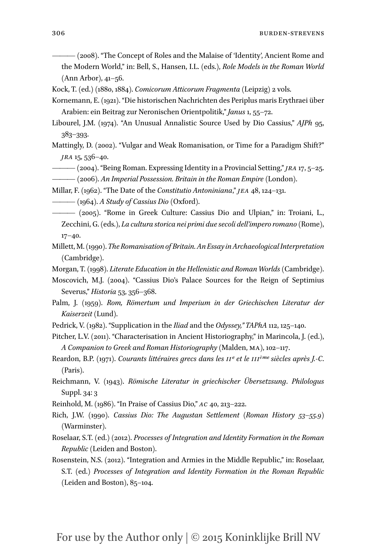$-(2008)$ . "The Concept of Roles and the Malaise of 'Identity', Ancient Rome and the Modern World," in: Bell, S., Hansen, I.L. (eds.), *Role Models in the Roman World* (Ann Arbor), 41–56.

Kock, T. (ed.) (1880, 1884). *Comicorum Atticorum Fragmenta* (Leipzig) 2 vols.

- Kornemann, E. (1921). "Die historischen Nachrichten des Periplus maris Erythraei über Arabien: ein Beitrag zur Neronischen Orientpolitik," *Janus* 1, 55–72.
- Libourel, J.M. (1974). "An Unusual Annalistic Source Used by Dio Cassius," *AJPh* 95, 383–393.
- Mattingly, D. (2002). "Vulgar and Weak Romanisation, or Time for a Paradigm Shift?" *JRA* 15, 536–40.
- ——— (2004). "Being Roman. Expressing Identity in a Provincial Setting," *JRA* 17, 5–25. ——— (2006). *An Imperial Possession. Britain in the Roman Empire* (London).

Millar, F. (1962). "The Date of the *Constitutio Antoniniana*," *JEA* 48, 124–131.

——— (1964). *A Study of Cassius Dio* (Oxford).

- ——— (2005). "Rome in Greek Culture: Cassius Dio and Ulpian," in: Troiani, L., Zecchini, G. (eds.), *La cultura storica nei primi due secoli dell'impero romano* (Rome),  $17 - 40.$
- Millett, M. (1990). *The Romanisation of Britain. An Essay in Archaeological Interpretation* (Cambridge).
- Morgan, T. (1998). *Literate Education in the Hellenistic and Roman Worlds* (Cambridge).
- Moscovich, M.J. (2004). "Cassius Dio's Palace Sources for the Reign of Septimius Severus," *Historia* 53, 356–368.
- Palm, J. (1959). *Rom, Römertum und Imperium in der Griechischen Literatur der Kaiserzeit* (Lund).
- Pedrick, V. (1982). "Supplication in the *Iliad* and the *Odyssey," TAPhA* 112, 125–140.
- Pitcher, L.V. (2011). "Characterisation in Ancient Historiography," in Marincola, J. (ed.), *A Companion to Greek and Roman Historiography* (Malden, MA), 102–117.
- Reardon, B.P. (1971). *Courants littéraires grecs dans les IIe et le III<sup>è</sup>me siècles après J.-C*. (Paris).
- Reichmann, V. (1943). *Römische Literatur in griechischer Übersetzsung*. *Philologus* Suppl. 34: 3
- Reinhold, M. (1986). "In Praise of Cassius Dio," *AC* 40, 213–222.
- Rich, J.W. (1990). *Cassius Dio: The Augustan Settlement (Roman History 53–55.9)* (Warminster).
- Roselaar, S.T. (ed.) (2012). *Processes of Integration and Identity Formation in the Roman Republic* (Leiden and Boston).
- Rosenstein, N.S. (2012). "Integration and Armies in the Middle Republic," in: Roselaar, S.T. (ed.) *Processes of Integration and Identity Formation in the Roman Republic* (Leiden and Boston), 85–104.